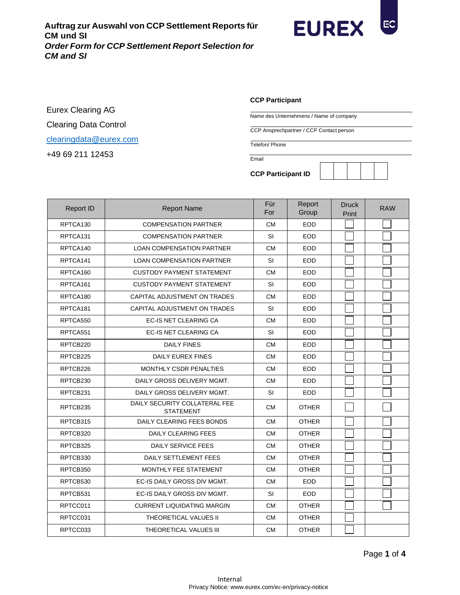

Eurex Clearing AG

Clearing Data Control

[clearingdata@eurex.com](mailto:clearingdata@eurex.com)

+49 69 211 12453

## **CCP Participant**

Name des Unternehmens / Name of company

CCP Ansprechpartner / CCP Contact person

Telefon/ Phone

**Email** 

**CCP Participant ID**



| <b>Report ID</b> | <b>Report Name</b>                                | Für<br>For | Report<br>Group | <b>Druck</b><br>Print | <b>RAW</b> |
|------------------|---------------------------------------------------|------------|-----------------|-----------------------|------------|
| RPTCA130         | <b>COMPENSATION PARTNER</b>                       | <b>CM</b>  | <b>EOD</b>      |                       |            |
| RPTCA131         | <b>COMPENSATION PARTNER</b>                       | SI         | <b>EOD</b>      |                       |            |
| RPTCA140         | <b>LOAN COMPENSATION PARTNER</b>                  | <b>CM</b>  | <b>EOD</b>      |                       |            |
| RPTCA141         | <b>LOAN COMPENSATION PARTNER</b>                  | SI         | <b>EOD</b>      |                       |            |
| RPTCA160         | <b>CUSTODY PAYMENT STATEMENT</b>                  | <b>CM</b>  | <b>EOD</b>      |                       |            |
| RPTCA161         | <b>CUSTODY PAYMENT STATEMENT</b>                  | SI         | <b>EOD</b>      |                       |            |
| RPTCA180         | CAPITAL ADJUSTMENT ON TRADES                      | <b>CM</b>  | <b>EOD</b>      |                       |            |
| RPTCA181         | CAPITAL ADJUSTMENT ON TRADES                      | SI         | <b>EOD</b>      |                       |            |
| RPTCA550         | <b>EC-IS NET CLEARING CA</b>                      | <b>CM</b>  | <b>EOD</b>      |                       |            |
| RPTCA551         | EC-IS NET CLEARING CA                             | SI         | <b>EOD</b>      |                       |            |
| RPTCB220         | <b>DAILY FINES</b>                                | <b>CM</b>  | <b>EOD</b>      |                       |            |
| RPTCB225         | <b>DAILY EUREX FINES</b>                          | <b>CM</b>  | <b>EOD</b>      |                       |            |
| RPTCB226         | <b>MONTHLY CSDR PENALTIES</b>                     | <b>CM</b>  | <b>EOD</b>      |                       |            |
| RPTCB230         | DAILY GROSS DELIVERY MGMT.                        | <b>CM</b>  | <b>EOD</b>      |                       |            |
| RPTCB231         | DAILY GROSS DELIVERY MGMT.                        | SI         | <b>EOD</b>      |                       |            |
| RPTCB235         | DAILY SECURITY COLLATERAL FEE<br><b>STATEMENT</b> | <b>CM</b>  | <b>OTHER</b>    |                       |            |
| RPTCB315         | DAILY CLEARING FEES BONDS                         | <b>CM</b>  | <b>OTHER</b>    |                       |            |
| RPTCB320         | <b>DAILY CLEARING FEES</b>                        | <b>CM</b>  | <b>OTHER</b>    |                       |            |
| RPTCB325         | DAILY SERVICE FEES                                | <b>CM</b>  | <b>OTHER</b>    |                       |            |
| RPTCB330         | DAILY SETTLEMENT FEES                             | СM         | <b>OTHER</b>    |                       |            |
| RPTCB350         | MONTHLY FEE STATEMENT                             | <b>CM</b>  | <b>OTHER</b>    |                       |            |
| RPTCB530         | EC-IS DAILY GROSS DIV MGMT.                       | <b>CM</b>  | <b>EOD</b>      |                       |            |
| RPTCB531         | EC-IS DAILY GROSS DIV MGMT.                       | SI         | <b>EOD</b>      |                       |            |
| RPTCC011         | <b>CURRENT LIQUIDATING MARGIN</b>                 | <b>CM</b>  | <b>OTHER</b>    |                       |            |
| RPTCC031         | THEORETICAL VALUES II                             | СM         | <b>OTHER</b>    |                       |            |
| RPTCC033         | THEORETICAL VALUES III                            | <b>CM</b>  | <b>OTHER</b>    |                       |            |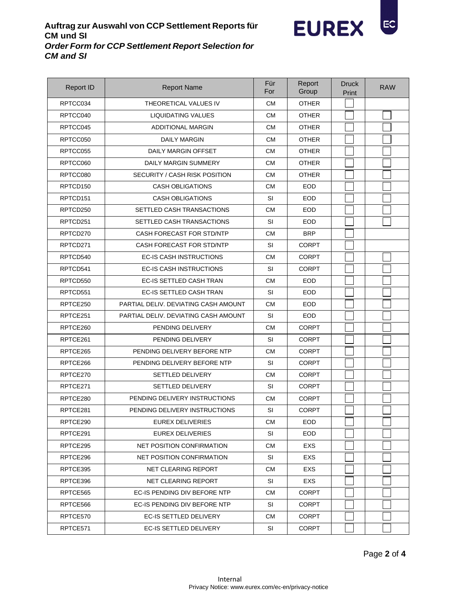

## **Auftrag zur Auswahl von CCP Settlement Reports für CM und SI** *Order Form for CCP Settlement Report Selection for CM and SI*

| <b>Report ID</b> | <b>Report Name</b>                   | Für<br>For | Report<br>Group | <b>Druck</b><br>Print | <b>RAW</b> |
|------------------|--------------------------------------|------------|-----------------|-----------------------|------------|
| RPTCC034         | THEORETICAL VALUES IV                | СM         | <b>OTHER</b>    |                       |            |
| RPTCC040         | <b>LIQUIDATING VALUES</b>            | СM         | <b>OTHER</b>    |                       |            |
| RPTCC045         | <b>ADDITIONAL MARGIN</b>             | <b>CM</b>  | <b>OTHER</b>    |                       |            |
| RPTCC050         | <b>DAILY MARGIN</b>                  | <b>CM</b>  | <b>OTHER</b>    |                       |            |
| RPTCC055         | <b>DAILY MARGIN OFFSET</b>           | CМ         | <b>OTHER</b>    |                       |            |
| RPTCC060         | <b>DAILY MARGIN SUMMERY</b>          | <b>CM</b>  | <b>OTHER</b>    |                       |            |
| RPTCC080         | SECURITY / CASH RISK POSITION        | <b>CM</b>  | <b>OTHER</b>    |                       |            |
| RPTCD150         | <b>CASH OBLIGATIONS</b>              | <b>CM</b>  | <b>EOD</b>      |                       |            |
| RPTCD151         | <b>CASH OBLIGATIONS</b>              | <b>SI</b>  | <b>EOD</b>      |                       |            |
| RPTCD250         | SETTLED CASH TRANSACTIONS            | <b>CM</b>  | <b>EOD</b>      |                       |            |
| RPTCD251         | SETTLED CASH TRANSACTIONS            | SI         | <b>EOD</b>      |                       |            |
| RPTCD270         | CASH FORECAST FOR STD/NTP            | СM         | <b>BRP</b>      |                       |            |
| RPTCD271         | CASH FORECAST FOR STD/NTP            | SI         | <b>CORPT</b>    |                       |            |
| RPTCD540         | EC-IS CASH INSTRUCTIONS              | СM         | <b>CORPT</b>    |                       |            |
| RPTCD541         | <b>EC-IS CASH INSTRUCTIONS</b>       | SI         | <b>CORPT</b>    |                       |            |
| RPTCD550         | <b>EC-IS SETTLED CASH TRAN</b>       | СM         | <b>EOD</b>      |                       |            |
| RPTCD551         | EC-IS SETTLED CASH TRAN              | SI         | <b>EOD</b>      |                       |            |
| RPTCE250         | PARTIAL DELIV. DEVIATING CASH AMOUNT | CМ         | <b>EOD</b>      |                       |            |
| RPTCE251         | PARTIAL DELIV. DEVIATING CASH AMOUNT | <b>SI</b>  | <b>EOD</b>      |                       |            |
| RPTCE260         | PENDING DELIVERY                     | <b>CM</b>  | <b>CORPT</b>    |                       |            |
| RPTCE261         | PENDING DELIVERY                     | <b>SI</b>  | <b>CORPT</b>    |                       |            |
| RPTCE265         | PENDING DELIVERY BEFORE NTP          | СM         | <b>CORPT</b>    |                       |            |
| RPTCE266         | PENDING DELIVERY BEFORE NTP          | SI         | <b>CORPT</b>    |                       |            |
| RPTCE270         | SETTLED DELIVERY                     | <b>CM</b>  | <b>CORPT</b>    |                       |            |
| RPTCE271         | <b>SETTLED DELIVERY</b>              | <b>SI</b>  | <b>CORPT</b>    |                       |            |
| RPTCE280         | PENDING DELIVERY INSTRUCTIONS        | <b>CM</b>  | <b>CORPT</b>    |                       |            |
| RPTCE281         | PENDING DELIVERY INSTRUCTIONS        | SI         | <b>CORPT</b>    |                       |            |
| RPTCE290         | EUREX DELIVERIES                     | СM         | EOD.            |                       |            |
| RPTCE291         | EUREX DELIVERIES                     | SI         | EOD             |                       |            |
| RPTCE295         | NET POSITION CONFIRMATION            | CМ         | EXS             |                       |            |
| RPTCE296         | NET POSITION CONFIRMATION            | SI         | EXS             |                       |            |
| RPTCE395         | NET CLEARING REPORT                  | CМ         | EXS.            |                       |            |
| RPTCE396         | NET CLEARING REPORT                  | SI         | <b>EXS</b>      |                       |            |
| RPTCE565         | EC-IS PENDING DIV BEFORE NTP         | CМ         | <b>CORPT</b>    |                       |            |
| RPTCE566         | EC-IS PENDING DIV BEFORE NTP         | SI         | <b>CORPT</b>    |                       |            |
| RPTCE570         | EC-IS SETTLED DELIVERY               | CМ         | <b>CORPT</b>    |                       |            |
| RPTCE571         | EC-IS SETTLED DELIVERY               | SI         | <b>CORPT</b>    |                       |            |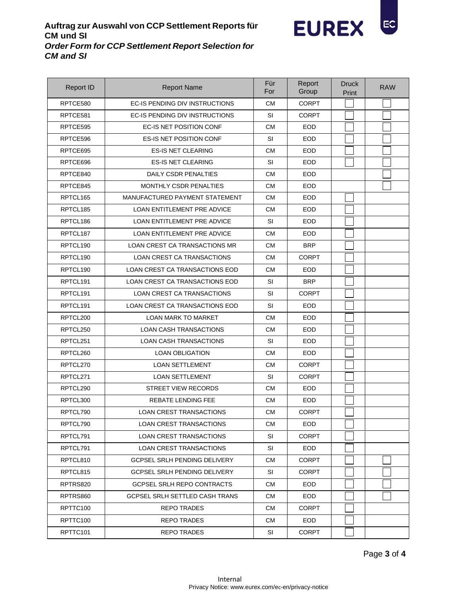## **Auftrag zur Auswahl von CCP Settlement Reports für CM und SI** *Order Form for CCP Settlement Report Selection for CM and SI*

| <b>Report ID</b> | <b>Report Name</b>                    | Für<br>For | Report<br>Group | <b>Druck</b><br>Print | <b>RAW</b> |
|------------------|---------------------------------------|------------|-----------------|-----------------------|------------|
| RPTCE580         | EC-IS PENDING DIV INSTRUCTIONS        | <b>CM</b>  | <b>CORPT</b>    |                       |            |
| RPTCE581         | EC-IS PENDING DIV INSTRUCTIONS        | SI         | <b>CORPT</b>    |                       |            |
| RPTCE595         | <b>EC-IS NET POSITION CONF</b>        | CМ         | <b>EOD</b>      |                       |            |
| RPTCE596         | <b>ES-IS NET POSITION CONF</b>        | SI         | <b>EOD</b>      |                       |            |
| RPTCE695         | <b>ES-IS NET CLEARING</b>             | <b>CM</b>  | <b>EOD</b>      |                       |            |
| RPTCE696         | <b>ES-IS NET CLEARING</b>             | SI         | <b>EOD</b>      |                       |            |
| RPTCE840         | DAILY CSDR PENALTIES                  | <b>CM</b>  | <b>EOD</b>      |                       |            |
| RPTCE845         | MONTHLY CSDR PENALTIES                | <b>CM</b>  | <b>EOD</b>      |                       |            |
| RPTCL165         | MANUFACTURED PAYMENT STATEMENT        | <b>CM</b>  | <b>EOD</b>      |                       |            |
| RPTCL185         | <b>LOAN ENTITLEMENT PRE ADVICE</b>    | <b>CM</b>  | <b>EOD</b>      |                       |            |
| RPTCL186         | <b>LOAN ENTITLEMENT PRE ADVICE</b>    | SI         | EOD             |                       |            |
| RPTCL187         | LOAN ENTITLEMENT PRE ADVICE           | <b>CM</b>  | <b>EOD</b>      |                       |            |
| RPTCL190         | LOAN CREST CA TRANSACTIONS MR         | <b>CM</b>  | <b>BRP</b>      |                       |            |
| RPTCL190         | <b>LOAN CREST CA TRANSACTIONS</b>     | СM         | <b>CORPT</b>    |                       |            |
| RPTCL190         | LOAN CREST CA TRANSACTIONS EOD        | <b>CM</b>  | <b>EOD</b>      |                       |            |
| RPTCL191         | <b>LOAN CREST CA TRANSACTIONS EOD</b> | SI         | <b>BRP</b>      |                       |            |
| RPTCL191         | <b>LOAN CREST CA TRANSACTIONS</b>     | SI         | <b>CORPT</b>    |                       |            |
| RPTCL191         | LOAN CREST CA TRANSACTIONS EOD        | SI         | <b>EOD</b>      |                       |            |
| RPTCL200         | <b>LOAN MARK TO MARKET</b>            | <b>CM</b>  | <b>EOD</b>      |                       |            |
| RPTCL250         | <b>LOAN CASH TRANSACTIONS</b>         | СM         | <b>EOD</b>      |                       |            |
| RPTCL251         | <b>LOAN CASH TRANSACTIONS</b>         | <b>SI</b>  | <b>EOD</b>      |                       |            |
| RPTCL260         | <b>LOAN OBLIGATION</b>                | СM         | <b>EOD</b>      |                       |            |
| RPTCL270         | LOAN SETTLEMENT                       | <b>CM</b>  | <b>CORPT</b>    |                       |            |
| RPTCL271         | <b>LOAN SETTLEMENT</b>                | SI         | <b>CORPT</b>    |                       |            |
| RPTCL290         | <b>STREET VIEW RECORDS</b>            | CМ         | <b>EOD</b>      |                       |            |
| RPTCL300         | REBATE LENDING FEE                    | <b>CM</b>  | <b>EOD</b>      |                       |            |
| RPTCL790         | <b>LOAN CREST TRANSACTIONS</b>        | <b>CM</b>  | <b>CORPT</b>    |                       |            |
| RPTCL790         | LOAN CREST TRANSACTIONS               | CM         | EOD.            |                       |            |
| RPTCL791         | LOAN CREST TRANSACTIONS               | SI         | <b>CORPT</b>    |                       |            |
| RPTCL791         | <b>LOAN CREST TRANSACTIONS</b>        | SI         | EOD.            |                       |            |
| RPTCL810         | <b>GCPSEL SRLH PENDING DELIVERY</b>   | CM         | <b>CORPT</b>    |                       |            |
| RPTCL815         | GCPSEL SRLH PENDING DELIVERY          | SI         | <b>CORPT</b>    |                       |            |
| RPTRS820         | <b>GCPSEL SRLH REPO CONTRACTS</b>     | CM         | EOD.            |                       |            |
| RPTRS860         | GCPSEL SRLH SETTLED CASH TRANS        | CM         | EOD.            |                       |            |
| RPTTC100         | <b>REPO TRADES</b>                    | CM         | <b>CORPT</b>    |                       |            |
| RPTTC100         | REPO TRADES                           | CM         | EOD             |                       |            |
| RPTTC101         | REPO TRADES                           | SI         | <b>CORPT</b>    |                       |            |
|                  |                                       |            |                 |                       |            |

EC

**EUREX**